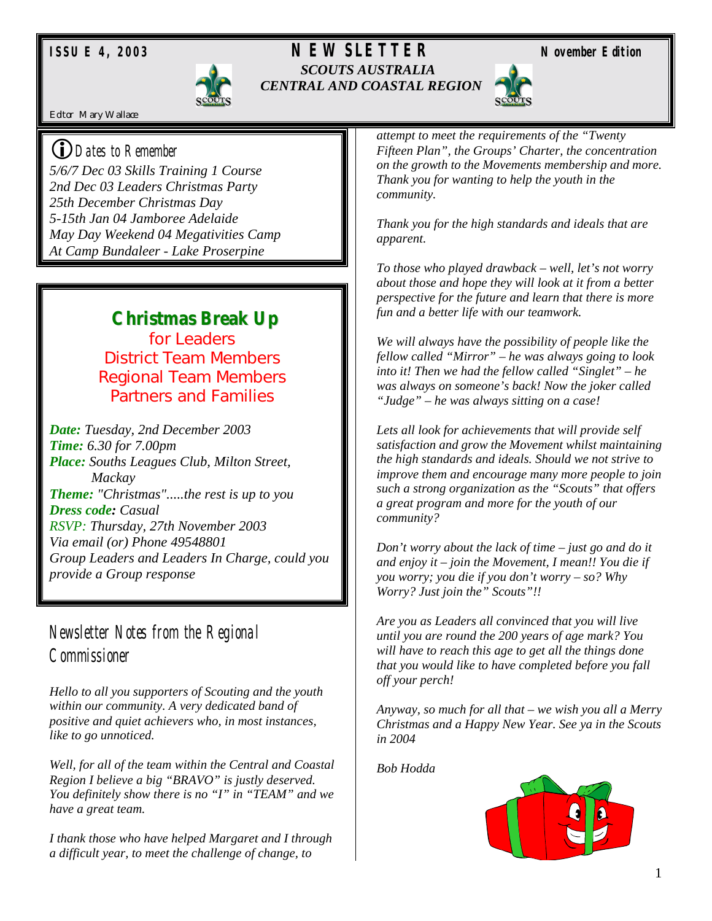

#### *ISSUE 4, 2003 NEWSLETTER November Edition SCOUTS AUSTRALIA CENTRAL AND COASTAL REGION*





Editor Mary Wallace

#### !*Dates to Remember*

*5/6/7 Dec 03 Skills Training 1 Course 2nd Dec 03 Leaders Christmas Party 25th December Christmas Day 5-15th Jan 04 Jamboree Adelaide May Day Weekend 04 Megativities Camp At Camp Bundaleer - Lake Proserpine* 

# **Christmas Break Up**

for Leaders District Team Members Regional Team Members Partners and Families

*Date: Tuesday, 2nd December 2003 Time: 6.30 for 7.00pm Place: Souths Leagues Club, Milton Street, Mackay Theme: "Christmas".....the rest is up to you Dress code: Casual RSVP: Thursday, 27th November 2003 Via email (or) Phone 49548801 Group Leaders and Leaders In Charge, could you provide a Group response* 

## *Newsletter Notes from the Regional Commissioner*

*Hello to all you supporters of Scouting and the youth within our community. A very dedicated band of positive and quiet achievers who, in most instances, like to go unnoticed.* 

*Well, for all of the team within the Central and Coastal Region I believe a big "BRAVO" is justly deserved. You definitely show there is no "I" in "TEAM" and we have a great team.* 

*I thank those who have helped Margaret and I through a difficult year, to meet the challenge of change, to* 

*attempt to meet the requirements of the "Twenty Fifteen Plan", the Groups' Charter, the concentration on the growth to the Movements membership and more. Thank you for wanting to help the youth in the community.* 

*Thank you for the high standards and ideals that are apparent.* 

*To those who played drawback – well, let's not worry about those and hope they will look at it from a better perspective for the future and learn that there is more fun and a better life with our teamwork.* 

*We will always have the possibility of people like the fellow called "Mirror" – he was always going to look into it! Then we had the fellow called "Singlet" – he was always on someone's back! Now the joker called "Judge" – he was always sitting on a case!* 

*Lets all look for achievements that will provide self satisfaction and grow the Movement whilst maintaining the high standards and ideals. Should we not strive to improve them and encourage many more people to join such a strong organization as the "Scouts" that offers a great program and more for the youth of our community?* 

*Don't worry about the lack of time – just go and do it and enjoy it – join the Movement, I mean!! You die if you worry; you die if you don't worry – so? Why Worry? Just join the" Scouts"!!* 

*Are you as Leaders all convinced that you will live until you are round the 200 years of age mark? You will have to reach this age to get all the things done that you would like to have completed before you fall off your perch!* 

*Anyway, so much for all that – we wish you all a Merry Christmas and a Happy New Year. See ya in the Scouts in 2004* 

*Bob Hodda*

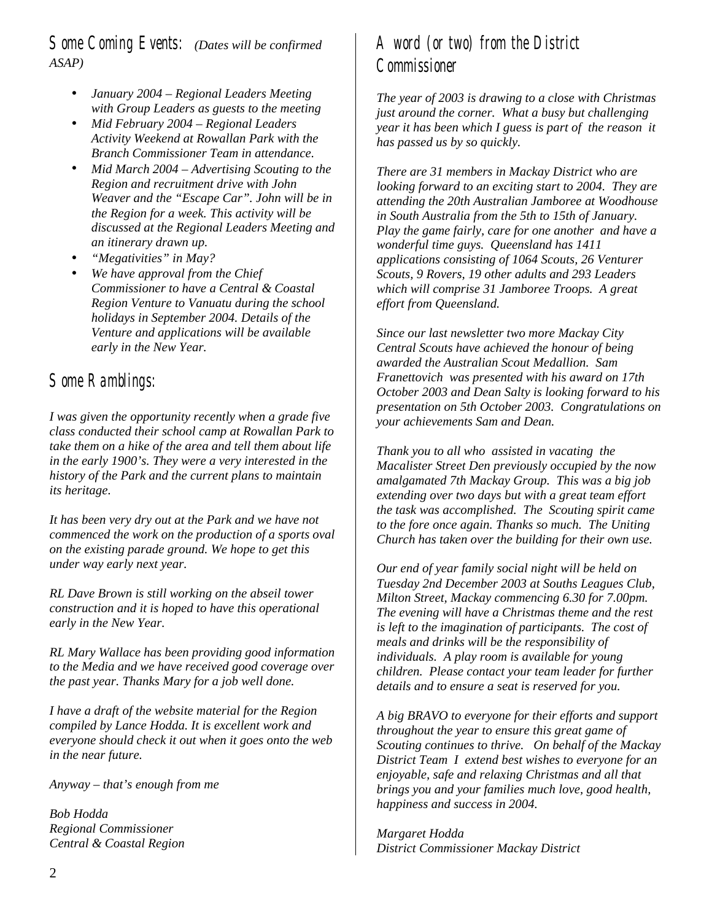*Some Coming Events: (Dates will be confirmed ASAP)* 

- *January 2004 Regional Leaders Meeting with Group Leaders as guests to the meeting*
- *Mid February 2004 Regional Leaders Activity Weekend at Rowallan Park with the Branch Commissioner Team in attendance.*
- *Mid March 2004 Advertising Scouting to the Region and recruitment drive with John Weaver and the "Escape Car". John will be in the Region for a week. This activity will be discussed at the Regional Leaders Meeting and an itinerary drawn up.*
- *"Megativities" in May?*
- *We have approval from the Chief Commissioner to have a Central & Coastal Region Venture to Vanuatu during the school holidays in September 2004. Details of the Venture and applications will be available early in the New Year.*

### *Some Ramblings:*

*I was given the opportunity recently when a grade five class conducted their school camp at Rowallan Park to take them on a hike of the area and tell them about life in the early 1900's. They were a very interested in the history of the Park and the current plans to maintain its heritage.* 

*It has been very dry out at the Park and we have not commenced the work on the production of a sports oval on the existing parade ground. We hope to get this under way early next year.* 

*RL Dave Brown is still working on the abseil tower construction and it is hoped to have this operational early in the New Year.* 

*RL Mary Wallace has been providing good information to the Media and we have received good coverage over the past year. Thanks Mary for a job well done.* 

*I have a draft of the website material for the Region compiled by Lance Hodda. It is excellent work and everyone should check it out when it goes onto the web in the near future.* 

*Anyway – that's enough from me* 

*Bob Hodda Regional Commissioner Central & Coastal Region* 

## *A word (or two) from the District Commissioner*

*The year of 2003 is drawing to a close with Christmas just around the corner. What a busy but challenging year it has been which I guess is part of the reason it has passed us by so quickly.* 

*There are 31 members in Mackay District who are looking forward to an exciting start to 2004. They are attending the 20th Australian Jamboree at Woodhouse in South Australia from the 5th to 15th of January. Play the game fairly, care for one another and have a wonderful time guys. Queensland has 1411 applications consisting of 1064 Scouts, 26 Venturer Scouts, 9 Rovers, 19 other adults and 293 Leaders which will comprise 31 Jamboree Troops. A great effort from Queensland.* 

*Since our last newsletter two more Mackay City Central Scouts have achieved the honour of being awarded the Australian Scout Medallion. Sam Franettovich was presented with his award on 17th October 2003 and Dean Salty is looking forward to his presentation on 5th October 2003. Congratulations on your achievements Sam and Dean.* 

*Thank you to all who assisted in vacating the Macalister Street Den previously occupied by the now amalgamated 7th Mackay Group. This was a big job extending over two days but with a great team effort the task was accomplished. The Scouting spirit came to the fore once again. Thanks so much. The Uniting Church has taken over the building for their own use.* 

*Our end of year family social night will be held on Tuesday 2nd December 2003 at Souths Leagues Club, Milton Street, Mackay commencing 6.30 for 7.00pm. The evening will have a Christmas theme and the rest is left to the imagination of participants. The cost of meals and drinks will be the responsibility of individuals. A play room is available for young children. Please contact your team leader for further details and to ensure a seat is reserved for you.* 

*A big BRAVO to everyone for their efforts and support throughout the year to ensure this great game of Scouting continues to thrive. On behalf of the Mackay District Team I extend best wishes to everyone for an enjoyable, safe and relaxing Christmas and all that brings you and your families much love, good health, happiness and success in 2004.* 

*Margaret Hodda District Commissioner Mackay District*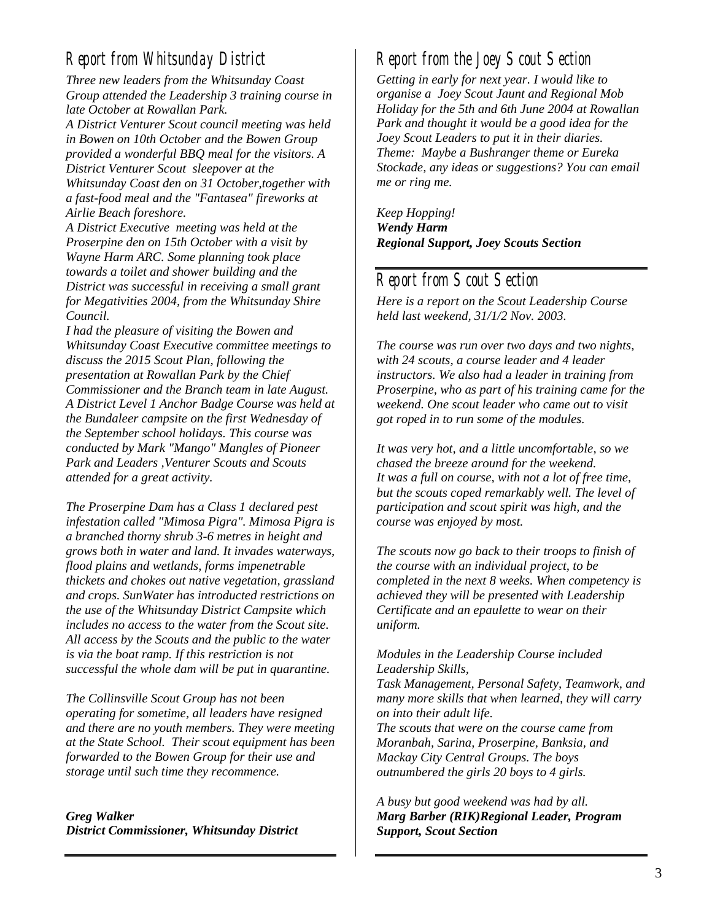### *Report from Whitsunday District*

*Three new leaders from the Whitsunday Coast Group attended the Leadership 3 training course in late October at Rowallan Park.* 

*A District Venturer Scout council meeting was held in Bowen on 10th October and the Bowen Group provided a wonderful BBQ meal for the visitors. A District Venturer Scout sleepover at the Whitsunday Coast den on 31 October,together with a fast-food meal and the "Fantasea" fireworks at Airlie Beach foreshore.* 

*A District Executive meeting was held at the Proserpine den on 15th October with a visit by Wayne Harm ARC. Some planning took place towards a toilet and shower building and the District was successful in receiving a small grant for Megativities 2004, from the Whitsunday Shire Council.* 

*I had the pleasure of visiting the Bowen and Whitsunday Coast Executive committee meetings to discuss the 2015 Scout Plan, following the presentation at Rowallan Park by the Chief Commissioner and the Branch team in late August. A District Level 1 Anchor Badge Course was held at the Bundaleer campsite on the first Wednesday of the September school holidays. This course was conducted by Mark "Mango" Mangles of Pioneer Park and Leaders ,Venturer Scouts and Scouts attended for a great activity.* 

*The Proserpine Dam has a Class 1 declared pest infestation called "Mimosa Pigra". Mimosa Pigra is a branched thorny shrub 3-6 metres in height and grows both in water and land. It invades waterways, flood plains and wetlands, forms impenetrable thickets and chokes out native vegetation, grassland and crops. SunWater has introducted restrictions on the use of the Whitsunday District Campsite which includes no access to the water from the Scout site. All access by the Scouts and the public to the water is via the boat ramp. If this restriction is not successful the whole dam will be put in quarantine.* 

*The Collinsville Scout Group has not been operating for sometime, all leaders have resigned and there are no youth members. They were meeting at the State School. Their scout equipment has been forwarded to the Bowen Group for their use and storage until such time they recommence.*

*Greg Walker District Commissioner, Whitsunday District* 

#### *Report from the Joey Scout Section*

*Getting in early for next year. I would like to organise a Joey Scout Jaunt and Regional Mob Holiday for the 5th and 6th June 2004 at Rowallan Park and thought it would be a good idea for the Joey Scout Leaders to put it in their diaries. Theme: Maybe a Bushranger theme or Eureka Stockade, any ideas or suggestions? You can email me or ring me.* 

*Keep Hopping! Wendy Harm Regional Support, Joey Scouts Section* 

# *Report from Scout Section*

*Here is a report on the Scout Leadership Course held last weekend, 31/1/2 Nov. 2003.* 

*The course was run over two days and two nights, with 24 scouts, a course leader and 4 leader instructors. We also had a leader in training from Proserpine, who as part of his training came for the weekend. One scout leader who came out to visit got roped in to run some of the modules.* 

*It was very hot, and a little uncomfortable, so we chased the breeze around for the weekend. It was a full on course, with not a lot of free time, but the scouts coped remarkably well. The level of participation and scout spirit was high, and the course was enjoyed by most.* 

*The scouts now go back to their troops to finish of the course with an individual project, to be completed in the next 8 weeks. When competency is achieved they will be presented with Leadership Certificate and an epaulette to wear on their uniform.* 

*Modules in the Leadership Course included Leadership Skills,* 

*Task Management, Personal Safety, Teamwork, and many more skills that when learned, they will carry on into their adult life.* 

*The scouts that were on the course came from Moranbah, Sarina, Proserpine, Banksia, and Mackay City Central Groups. The boys outnumbered the girls 20 boys to 4 girls.* 

*A busy but good weekend was had by all. Marg Barber (RIK)Regional Leader, Program Support, Scout Section*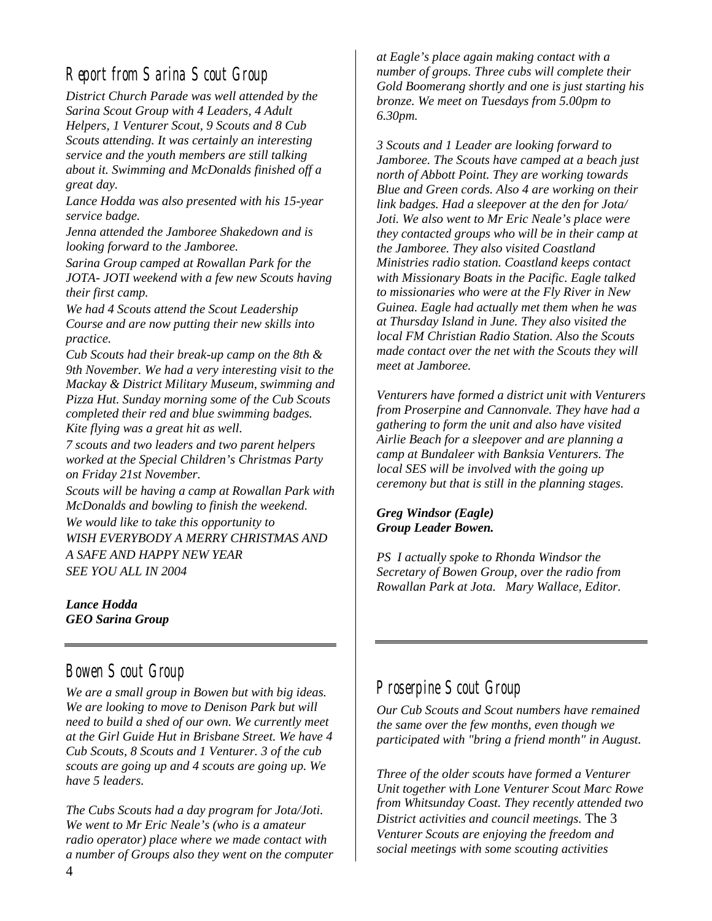#### *Report from Sarina Scout Group*

*District Church Parade was well attended by the Sarina Scout Group with 4 Leaders, 4 Adult Helpers, 1 Venturer Scout, 9 Scouts and 8 Cub Scouts attending. It was certainly an interesting service and the youth members are still talking about it. Swimming and McDonalds finished off a great day.* 

*Lance Hodda was also presented with his 15-year service badge.* 

*Jenna attended the Jamboree Shakedown and is looking forward to the Jamboree.* 

*Sarina Group camped at Rowallan Park for the JOTA- JOTI weekend with a few new Scouts having their first camp.* 

*We had 4 Scouts attend the Scout Leadership Course and are now putting their new skills into practice.* 

*Cub Scouts had their break-up camp on the 8th & 9th November. We had a very interesting visit to the Mackay & District Military Museum, swimming and Pizza Hut. Sunday morning some of the Cub Scouts completed their red and blue swimming badges. Kite flying was a great hit as well.* 

*7 scouts and two leaders and two parent helpers worked at the Special Children's Christmas Party on Friday 21st November.* 

*Scouts will be having a camp at Rowallan Park with McDonalds and bowling to finish the weekend. We would like to take this opportunity to WISH EVERYBODY A MERRY CHRISTMAS AND A SAFE AND HAPPY NEW YEAR SEE YOU ALL IN 2004* 

*Lance Hodda GEO Sarina Group*

#### *Bowen Scout Group*

*We are a small group in Bowen but with big ideas. We are looking to move to Denison Park but will need to build a shed of our own. We currently meet at the Girl Guide Hut in Brisbane Street. We have 4 Cub Scouts, 8 Scouts and 1 Venturer. 3 of the cub scouts are going up and 4 scouts are going up. We have 5 leaders.* 

*The Cubs Scouts had a day program for Jota/Joti. We went to Mr Eric Neale's (who is a amateur radio operator) place where we made contact with a number of Groups also they went on the computer* 

*at Eagle's place again making contact with a number of groups. Three cubs will complete their Gold Boomerang shortly and one is just starting his bronze. We meet on Tuesdays from 5.00pm to 6.30pm.* 

*3 Scouts and 1 Leader are looking forward to Jamboree. The Scouts have camped at a beach just north of Abbott Point. They are working towards Blue and Green cords. Also 4 are working on their link badges. Had a sleepover at the den for Jota/ Joti. We also went to Mr Eric Neale's place were they contacted groups who will be in their camp at the Jamboree. They also visited Coastland Ministries radio station. Coastland keeps contact with Missionary Boats in the Pacific. Eagle talked to missionaries who were at the Fly River in New Guinea. Eagle had actually met them when he was at Thursday Island in June. They also visited the local FM Christian Radio Station. Also the Scouts made contact over the net with the Scouts they will meet at Jamboree.* 

*Venturers have formed a district unit with Venturers from Proserpine and Cannonvale. They have had a gathering to form the unit and also have visited Airlie Beach for a sleepover and are planning a camp at Bundaleer with Banksia Venturers. The local SES will be involved with the going up ceremony but that is still in the planning stages.* 

*Greg Windsor (Eagle) Group Leader Bowen.* 

*PS I actually spoke to Rhonda Windsor the Secretary of Bowen Group, over the radio from Rowallan Park at Jota. Mary Wallace, Editor.* 

#### *Proserpine Scout Group*

*Our Cub Scouts and Scout numbers have remained the same over the few months, even though we participated with "bring a friend month" in August.* 

*Three of the older scouts have formed a Venturer Unit together with Lone Venturer Scout Marc Rowe from Whitsunday Coast. They recently attended two District activities and council meetings.* The 3 *Venturer Scouts are enjoying the freedom and social meetings with some scouting activities*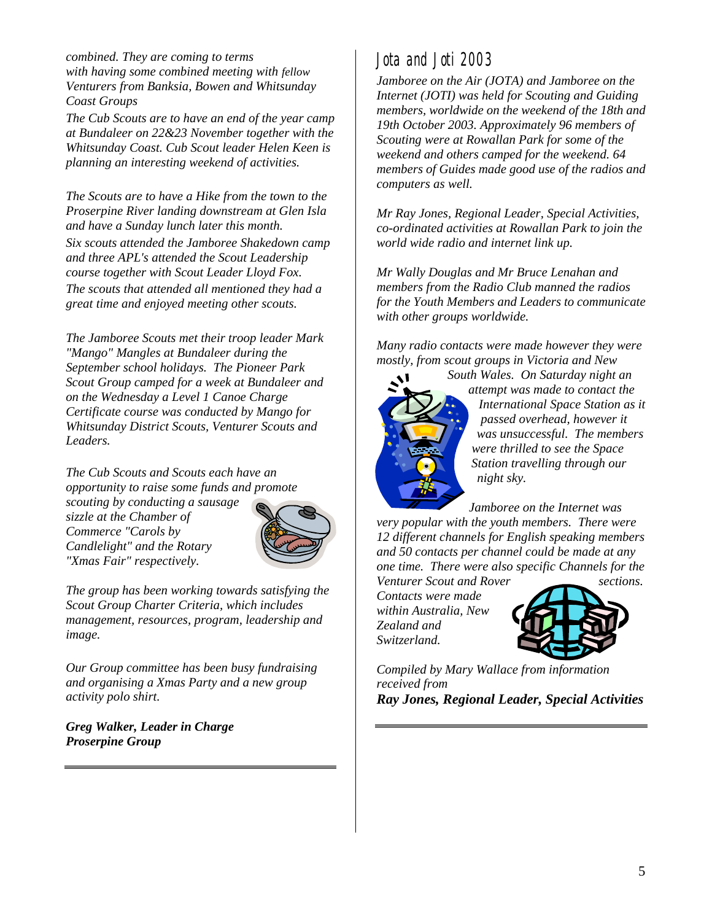*combined. They are coming to terms with having some combined meeting with fellow Venturers from Banksia, Bowen and Whitsunday Coast Groups* 

*The Cub Scouts are to have an end of the year camp at Bundaleer on 22&23 November together with the Whitsunday Coast. Cub Scout leader Helen Keen is planning an interesting weekend of activities.* 

*The Scouts are to have a Hike from the town to the Proserpine River landing downstream at Glen Isla and have a Sunday lunch later this month. Six scouts attended the Jamboree Shakedown camp and three APL's attended the Scout Leadership course together with Scout Leader Lloyd Fox. The scouts that attended all mentioned they had a great time and enjoyed meeting other scouts.* 

*The Jamboree Scouts met their troop leader Mark "Mango" Mangles at Bundaleer during the September school holidays. The Pioneer Park Scout Group camped for a week at Bundaleer and on the Wednesday a Level 1 Canoe Charge Certificate course was conducted by Mango for Whitsunday District Scouts, Venturer Scouts and Leaders.* 

*The Cub Scouts and Scouts each have an opportunity to raise some funds and promote* 

*scouting by conducting a sausage sizzle at the Chamber of Commerce "Carols by Candlelight" and the Rotary "Xmas Fair" respectively.* 



*The group has been working towards satisfying the Scout Group Charter Criteria, which includes management, resources, program, leadership and image.* 

*Our Group committee has been busy fundraising and organising a Xmas Party and a new group activity polo shirt.* 

*Greg Walker, Leader in Charge Proserpine Group*

# *Jota and Joti 2003*

*Jamboree on the Air (JOTA) and Jamboree on the Internet (JOTI) was held for Scouting and Guiding members, worldwide on the weekend of the 18th and 19th October 2003. Approximately 96 members of Scouting were at Rowallan Park for some of the weekend and others camped for the weekend. 64 members of Guides made good use of the radios and computers as well.* 

*Mr Ray Jones, Regional Leader, Special Activities, co-ordinated activities at Rowallan Park to join the world wide radio and internet link up.* 

*Mr Wally Douglas and Mr Bruce Lenahan and members from the Radio Club manned the radios for the Youth Members and Leaders to communicate with other groups worldwide.* 

*Many radio contacts were made however they were mostly, from scout groups in Victoria and New* 



*South Wales. On Saturday night an attempt was made to contact the International Space Station as it passed overhead, however it was unsuccessful. The members were thrilled to see the Space Station travelling through our night sky.* 

*Jamboree on the Internet was very popular with the youth members. There were 12 different channels for English speaking members and 50 contacts per channel could be made at any one time. There were also specific Channels for the Venturer Scout and Rover* sections.

*Contacts were made within Australia, New Zealand and Switzerland.* 



*Compiled by Mary Wallace from information received from Ray Jones, Regional Leader, Special Activities*